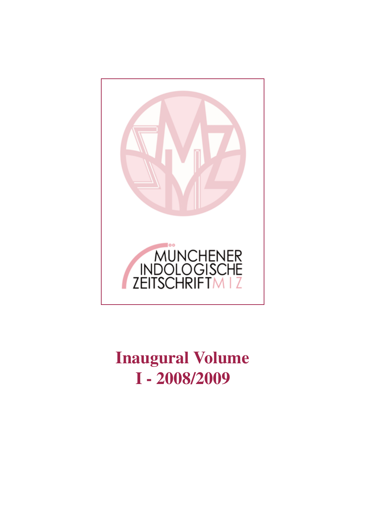

**Inaugural Volume I - 2008/2009**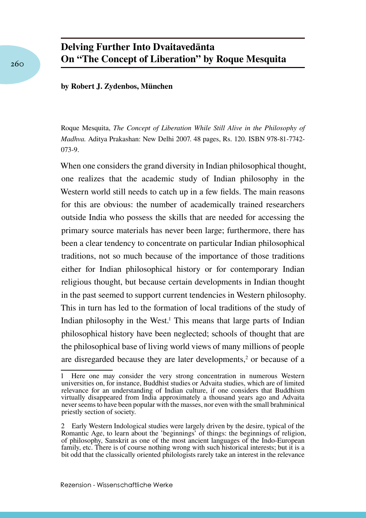## **Delving Further Into Dvaitavedānta On "The Concept of Liberation" by Roque Mesquita**

## **by Robert J. Zydenbos, München**

Roque Mesquita, *The Concept of Liberation While Still Alive in the Philosophy of Madhva.* Aditya Prakashan: New Delhi 2007. 48 pages, Rs. 120. ISBN 978-81-7742- 073-9.

When one considers the grand diversity in Indian philosophical thought, one realizes that the academic study of Indian philosophy in the Western world still needs to catch up in a few fields. The main reasons for this are obvious: the number of academically trained researchers outside India who possess the skills that are needed for accessing the primary source materials has never been large; furthermore, there has been a clear tendency to concentrate on particular Indian philosophical traditions, not so much because of the importance of those traditions either for Indian philosophical history or for contemporary Indian religious thought, but because certain developments in Indian thought in the past seemed to support current tendencies in Western philosophy. This in turn has led to the formation of local traditions of the study of Indian philosophy in the West.<sup>1</sup> This means that large parts of Indian philosophical history have been neglected; schools of thought that are the philosophical base of living world views of many millions of people are disregarded because they are later developments,<sup>2</sup> or because of a

<sup>1</sup> Here one may consider the very strong concentration in numerous Western universities on, for instance, Buddhist studies or Advaita studies, which are of limited relevance for an understanding of Indian culture, if one considers that Buddhism virtually disappeared from India approximately a thousand years ago and Advaita never seems to have been popular with the masses, nor even with the small brahminical priestly section of society.

<sup>2</sup> Early Western Indological studies were largely driven by the desire, typical of the Romantic Age, to learn about the 'beginnings' of things: the beginnings of religion, of philosophy, Sanskrit as one of the most ancient languages of the Indo-European family, etc. There is of course nothing wrong with such historical interests; but it is a bit odd that the classically oriented philologists rarely take an interest in the relevance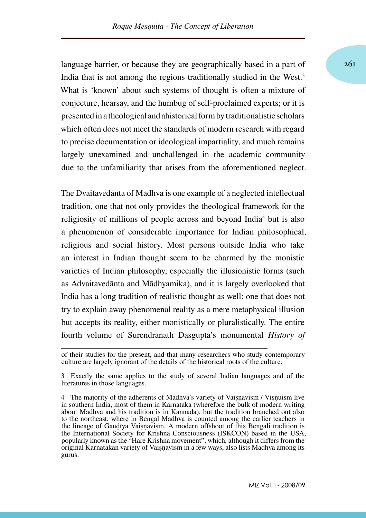language barrier, or because they are geographically based in a part of 261 India that is not among the regions traditionally studied in the West.<sup>3</sup> What is 'known' about such systems of thought is often a mixture of conjecture, hearsay, and the humbug of self-proclaimed experts; or it is presented in a theological and ahistorical form by traditionalistic scholars which often does not meet the standards of modern research with regard to precise documentation or ideological impartiality, and much remains largely unexamined and unchallenged in the academic community due to the unfamiliarity that arises from the aforementioned neglect.

The Dvaitavedānta of Madhva is one example of a neglected intellectual tradition, one that not only provides the theological framework for the religiosity of millions of people across and beyond India<sup>4</sup> but is also a phenomenon of considerable importance for Indian philosophical, religious and social history. Most persons outside India who take an interest in Indian thought seem to be charmed by the monistic varieties of Indian philosophy, especially the illusionistic forms (such as Advaitavedānta and Mādhyamika), and it is largely overlooked that India has a long tradition of realistic thought as well: one that does not try to explain away phenomenal reality as a mere metaphysical illusion but accepts its reality, either monistically or pluralistically. The entire fourth volume of Surendranath Dasgupta's monumental *History of* 

of their studies for the present, and that many researchers who study contemporary culture are largely ignorant of the details of the historical roots of the culture.

<sup>3</sup> Exactly the same applies to the study of several Indian languages and of the literatures in those languages.

<sup>4</sup> The majority of the adherents of Madhva's variety of Vaiṣṇavism / Viṣṇuism live in southern India, most of them in Karnataka (wherefore the bulk of modern writing about Madhva and his tradition is in Kannada), but the tradition branched out also to the northeast, where in Bengal Madhva is counted among the earlier teachers in the lineage of Gaudīya Vaisnavism. A modern offshoot of this Bengali tradition is the International Society for Krishna Consciousness (ISKCON) based in the USA, popularly known as the "Hare Krishna movement", which, although it differs from the original Karnatakan variety of Vaiṣṇavism in a few ways, also lists Madhva among its gurus.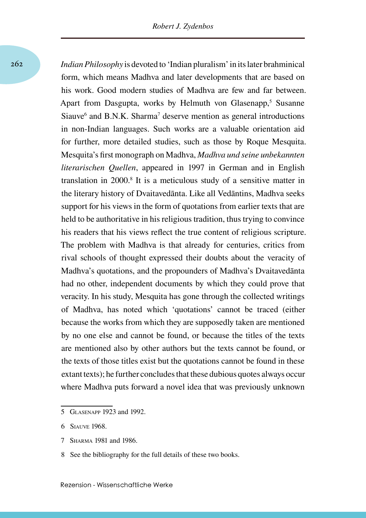*Indian Philosophy* is devoted to 'Indian pluralism' in its later brahminical form, which means Madhva and later developments that are based on his work. Good modern studies of Madhva are few and far between. Apart from Dasgupta, works by Helmuth von Glasenapp,<sup>5</sup> Susanne Siauve<sup>6</sup> and B.N.K. Sharma<sup>7</sup> deserve mention as general introductions in non-Indian languages. Such works are a valuable orientation aid for further, more detailed studies, such as those by Roque Mesquita. Mesquita's first monograph on Madhva, *Madhva und seine unbekannten literarischen Quellen*, appeared in 1997 in German and in English translation in 2000.8 It is a meticulous study of a sensitive matter in the literary history of Dvaitavedānta. Like all Vedāntins, Madhva seeks support for his views in the form of quotations from earlier texts that are held to be authoritative in his religious tradition, thus trying to convince his readers that his views reflect the true content of religious scripture. The problem with Madhva is that already for centuries, critics from rival schools of thought expressed their doubts about the veracity of Madhva's quotations, and the propounders of Madhva's Dvaitavedānta had no other, independent documents by which they could prove that veracity. In his study, Mesquita has gone through the collected writings of Madhva, has noted which 'quotations' cannot be traced (either because the works from which they are supposedly taken are mentioned by no one else and cannot be found, or because the titles of the texts are mentioned also by other authors but the texts cannot be found, or the texts of those titles exist but the quotations cannot be found in these extant texts); he further concludes that these dubious quotes always occur where Madhva puts forward a novel idea that was previously unknown

7 Sharma 1981 and 1986.

<sup>5</sup> Glasenapp 1923 and 1992.

<sup>6</sup> Siauve 1968.

<sup>8</sup> See the bibliography for the full details of these two books.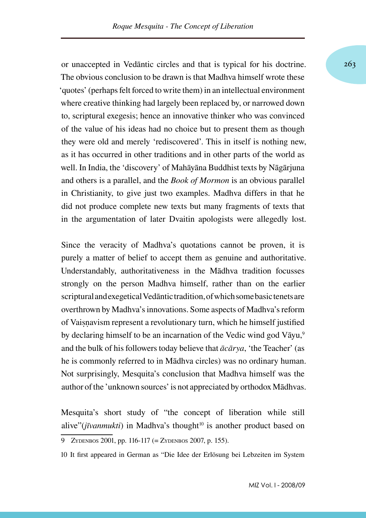or unaccepted in Vedāntic circles and that is typical for his doctrine. 263 The obvious conclusion to be drawn is that Madhva himself wrote these 'quotes' (perhaps felt forced to write them) in an intellectual environment where creative thinking had largely been replaced by, or narrowed down to, scriptural exegesis; hence an innovative thinker who was convinced of the value of his ideas had no choice but to present them as though they were old and merely 'rediscovered'. This in itself is nothing new, as it has occurred in other traditions and in other parts of the world as well. In India, the 'discovery' of Mahāyāna Buddhist texts by Nāgārjuna and others is a parallel, and the *Book of Mormon* is an obvious parallel in Christianity, to give just two examples. Madhva differs in that he did not produce complete new texts but many fragments of texts that in the argumentation of later Dvaitin apologists were allegedly lost.

Since the veracity of Madhva's quotations cannot be proven, it is purely a matter of belief to accept them as genuine and authoritative. Understandably, authoritativeness in the Mādhva tradition focusses strongly on the person Madhva himself, rather than on the earlier scriptural and exegetical Vedāntic tradition, of which some basic tenets are overthrown by Madhva's innovations. Some aspects of Madhva's reform of Vaiṣṇavism represent a revolutionary turn, which he himself justified by declaring himself to be an incarnation of the Vedic wind god  $V\bar{a}yu$ ,<sup>9</sup> and the bulk of his followers today believe that *ācārya*, 'the Teacher' (as he is commonly referred to in Mādhva circles) was no ordinary human. Not surprisingly, Mesquita's conclusion that Madhva himself was the author of the 'unknown sources' is not appreciated by orthodox Mādhvas.

Mesquita's short study of "the concept of liberation while still alive"(*jīvanmukti*) in Madhva's thought<sup>10</sup> is another product based on

<sup>9</sup> Zydenbos 2001, pp. 116-117 (= Zydenbos 2007, p. 155).

<sup>10</sup> It first appeared in German as "Die Idee der Erlösung bei Lebzeiten im System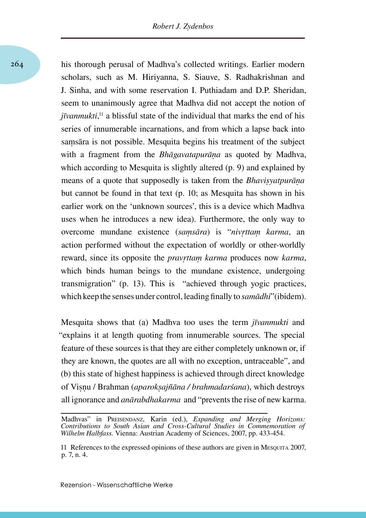his thorough perusal of Madhva's collected writings. Earlier modern scholars, such as M. Hiriyanna, S. Siauve, S. Radhakrishnan and J. Sinha, and with some reservation I. Puthiadam and D.P. Sheridan, seem to unanimously agree that Madhva did not accept the notion of *jīvanmukti*, 11 a blissful state of the individual that marks the end of his series of innumerable incarnations, and from which a lapse back into saṃsāra is not possible. Mesquita begins his treatment of the subject with a fragment from the *Bhāgavatapurāṇa* as quoted by Madhva, which according to Mesquita is slightly altered (p. 9) and explained by means of a quote that supposedly is taken from the *Bhaviṣyatpurāṇa*  but cannot be found in that text (p. 10; as Mesquita has shown in his earlier work on the 'unknown sources', this is a device which Madhva uses when he introduces a new idea). Furthermore, the only way to overcome mundane existence (*saṃsāra*) is "*nivṛttaṃ karma*, an action performed without the expectation of worldly or other-worldly reward, since its opposite the *pravṛttaṃ karma* produces now *karma*, which binds human beings to the mundane existence, undergoing transmigration" (p. 13). This is "achieved through yogic practices, which keep the senses under control, leading finally to *samādhi*"(ibidem).

Mesquita shows that (a) Madhva too uses the term *jīvanmukti* and "explains it at length quoting from innumerable sources. The special feature of these sources is that they are either completely unknown or, if they are known, the quotes are all with no exception, untraceable", and (b) this state of highest happiness is achieved through direct knowledge of Viṣṇu / Brahman (*aparokṣajñāna / brahmadarśana*), which destroys all ignorance and *anārabdhakarma* and "prevents the rise of new karma.

Madhvas" in Preisendanz, Karin (ed.), *Expanding and Merging Horizons: Contributions to South Asian and Cross-Cultural Studies in Commemoration of Wilhelm Halbfass.* Vienna: Austrian Academy of Sciences, 2007, pp. 433-454.

<sup>11</sup> References to the expressed opinions of these authors are given in Mesourra 2007, p. 7, n. 4.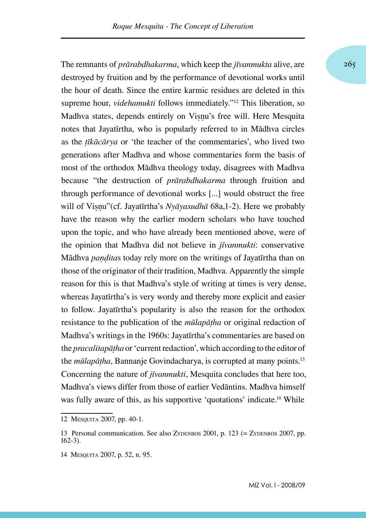The remnants of *prārabdhakarma*, which keep the *jīvanmukta* alive, are 265 destroyed by fruition and by the performance of devotional works until the hour of death. Since the entire karmic residues are deleted in this supreme hour, *videhamukti* follows immediately."12 This liberation, so Madhva states, depends entirely on Viṣṇu's free will. Here Mesquita notes that Jayatīrtha, who is popularly referred to in Mādhva circles as the *ṭīkācārya* or 'the teacher of the commentaries', who lived two generations after Madhva and whose commentaries form the basis of most of the orthodox Mādhva theology today, disagrees with Madhva because "the destruction of *prārabdhakarma* through fruition and through performance of devotional works [...] would obstruct the free will of Viṣṇu"(cf. Jayatīrtha's *Nyāyasudhā* 68a,1-2). Here we probably have the reason why the earlier modern scholars who have touched upon the topic, and who have already been mentioned above, were of the opinion that Madhva did not believe in *jīvanmukti*: conservative Mādhva *paṇḍita*s today rely more on the writings of Jayatīrtha than on those of the originator of their tradition, Madhva. Apparently the simple reason for this is that Madhva's style of writing at times is very dense, whereas Jayatīrtha's is very wordy and thereby more explicit and easier to follow. Jayatīrtha's popularity is also the reason for the orthodox resistance to the publication of the *mūlapāṭha* or original redaction of Madhva's writings in the 1960s: Jayatīrtha's commentaries are based on the *pracalitapāṭha* or 'current redaction', which according to the editor of the *mūlapāṭha*, Bannanje Govindacharya, is corrupted at many points.13 Concerning the nature of *jīvanmukti*, Mesquita concludes that here too, Madhva's views differ from those of earlier Vedāntins. Madhva himself was fully aware of this, as his supportive 'quotations' indicate.<sup>14</sup> While

<sup>12</sup> Mesquita 2007, pp. 40-1.

<sup>13</sup> Personal communication. See also Zypenbos 2001, p. 123 (= Zypenbos 2007, pp. 162-3).

<sup>14</sup> Mesquita 2007, p. 52, n. 95.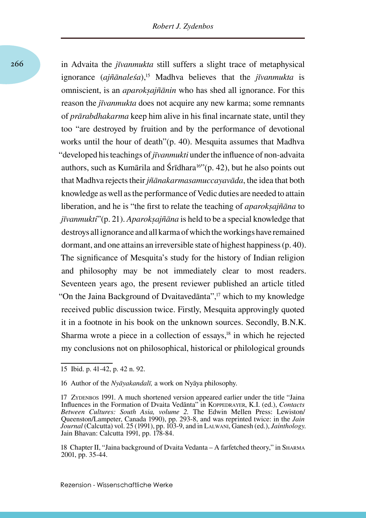266

in Advaita the *jīvanmukta* still suffers a slight trace of metaphysical ignorance (*ajñānaleśa*),<sup>15</sup> Madhva believes that the *jīvanmukta* is omniscient, is an *aparokṣajñānin* who has shed all ignorance. For this reason the *jīvanmukta* does not acquire any new karma; some remnants of *prārabdhakarma* keep him alive in his final incarnate state, until they too "are destroyed by fruition and by the performance of devotional works until the hour of death"(p. 40). Mesquita assumes that Madhva "developed his teachings of *jīvanmukti* under the influence of non-advaita authors, such as Kumārila and Śrīdhara<sup>16"</sup> $(p. 42)$ , but he also points out that Madhva rejects their *jñānakarmasamuccayavāda*, the idea that both knowledge as well as the performance of Vedic duties are needed to attain liberation, and he is "the first to relate the teaching of *aparokṣajñāna* to *jīvanmukti*"(p. 21). *Aparoksajñāna* is held to be a special knowledge that destroys all ignorance and all karma of which the workings have remained dormant, and one attains an irreversible state of highest happiness (p. 40). The significance of Mesquita's study for the history of Indian religion and philosophy may be not immediately clear to most readers. Seventeen years ago, the present reviewer published an article titled "On the Jaina Background of Dvaitavedānta",17 which to my knowledge received public discussion twice. Firstly, Mesquita approvingly quoted it in a footnote in his book on the unknown sources. Secondly, B.N.K. Sharma wrote a piece in a collection of essays, $18$  in which he rejected my conclusions not on philosophical, historical or philological grounds

<sup>15</sup> Ibid. p. 41-42, p. 42 n. 92.

<sup>16</sup> Author of the *Nyāyakandalī,* a work on Nyāya philosophy.

<sup>17</sup> Zydenbos 1991. A much shortened version appeared earlier under the title "Jaina Influences in the Formation of Dvaita Vedānta" in Koppedrayer, K.I. (ed.), *Contacts Between Cultures: South Asia, volume 2.* The Edwin Mellen Press: Lewiston/ Queenston/Lampeter, Canada 1990), pp. 293-8, and was reprinted twice: in the *Jain Journal* (Calcutta) vol. 25 (1991), pp. 103-9, and in Lalwani, Ganesh (ed.), *Jainthology.* Jain Bhavan: Calcutta 1991, pp. 178-84.

<sup>18</sup> Chapter II, "Jaina background of Dvaita Vedanta – A farfetched theory," in Sharma 2001, pp. 35-44.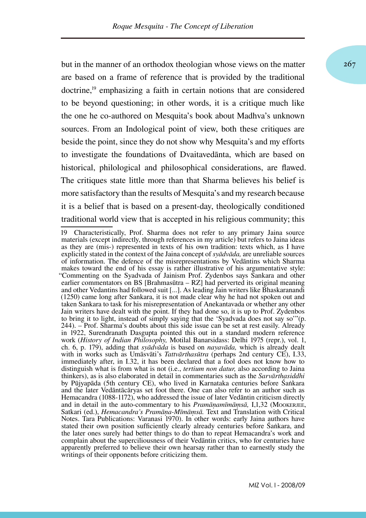but in the manner of an orthodox theologian whose views on the matter 267 are based on a frame of reference that is provided by the traditional doctrine,<sup>19</sup> emphasizing a faith in certain notions that are considered to be beyond questioning; in other words, it is a critique much like the one he co-authored on Mesquita's book about Madhva's unknown sources. From an Indological point of view, both these critiques are beside the point, since they do not show why Mesquita's and my efforts to investigate the foundations of Dvaitavedānta, which are based on historical, philological and philosophical considerations, are flawed. The critiques state little more than that Sharma believes his belief is more satisfactory than the results of Mesquita's and my research because it is a belief that is based on a present-day, theologically conditioned traditional world view that is accepted in his religious community; this

<sup>19</sup> Characteristically, Prof. Sharma does not refer to any primary Jaina source materials (except indirectly, through references in my article) but refers to Jaina ideas as they are (mis-) represented in texts of his own tradition: texts which, as I have explicitly stated in the context of the Jaina concept of *syādvāda,* are unreliable sources of information. The defence of the misrepresentations by Vedāntins which Sharma makes toward the end of his essay is rather illustrative of his argumentative style: "Commenting on the Syadvada of Jainism Prof. Zydenbos says Sankara and other earlier commentators on BS [Brahmasūtra – RZ] had perverted its original meaning and other Vedantins had followed suit [...]. As leading Jain writers like Bhaskaranandi (1250) came long after Sankara, it is not made clear why he had not spoken out and taken Sankara to task for his misrepresentation of Anekantavada or whether any other Jain writers have dealt with the point. If they had done so, it is up to Prof. Zydenbos to bring it to light, instead of simply saying that the 'Syadvada does not say so'"(p. 244). – Prof. Sharma's doubts about this side issue can be set at rest easily. Already in 1922, Surendranath Dasgupta pointed this out in a standard modern reference work (*History of Indian Philosophy,* Motilal Banarsidass: Delhi 1975 (repr.), vol. 1, ch. 6, p. 179), adding that *syādvāda* is based on *nayavāda,* which is already dealt with in works such as Umāsvāti's *Tattvārthasūtra* (perhaps 2nd century CE), I.33, immediately after, in I.32, it has been declared that a fool does not know how to distinguish what is from what is not (i.e., *tertium non datur,* also according to Jaina thinkers), as is also elaborated in detail in commentaries such as the *Sarvārthasiddhi* by Pūjyapāda (5th century CE), who lived in Karnataka centuries before Śaṅkara and the later Vedāntācāryas set foot there. One can also refer to an author such as Hemacandra (1088-1172), who addressed the issue of later Vedāntin criticism directly and in detail in the auto-commentary to his *Pramānamīmāmsā*, I,1,32 (MOOKERJEE, Satkari (ed.), *Hemacandra's Pramāṇa-Mīmāṃsā.* Text and Translation with Critical Notes. Tara Publications: Varanasi 1970). In other words: early Jaina authors have stated their own position sufficiently clearly already centuries before Śaṅkara, and the later ones surely had better things to do than to repeat Hemacandra's work and complain about the superciliousness of their Vedāntin critics, who for centuries have apparently preferred to believe their own hearsay rather than to earnestly study the writings of their opponents before criticizing them.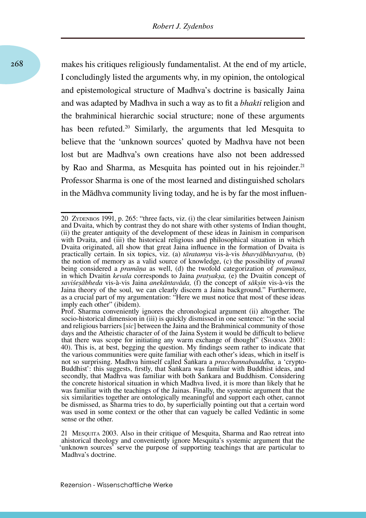makes his critiques religiously fundamentalist. At the end of my article, I concludingly listed the arguments why, in my opinion, the ontological and epistemological structure of Madhva's doctrine is basically Jaina and was adapted by Madhva in such a way as to fit a *bhakti* religion and the brahminical hierarchic social structure; none of these arguments has been refuted.<sup>20</sup> Similarly, the arguments that led Mesquita to believe that the 'unknown sources' quoted by Madhva have not been lost but are Madhva's own creations have also not been addressed by Rao and Sharma, as Mesquita has pointed out in his rejoinder.<sup>21</sup> Professor Sharma is one of the most learned and distinguished scholars in the Mādhva community living today, and he is by far the most influen-

<sup>20</sup> Zydenbos 1991, p. 265: "three facts, viz. (i) the clear similarities between Jainism and Dvaita, which by contrast they do not share with other systems of Indian thought, (ii) the greater antiquity of the development of these ideas in Jainism in comparison with Dvaita, and (iii) the historical religious and philosophical situation in which Dvaita originated, all show that great Jaina influence in the formation of Dvaita is practically certain. In six topics, viz. (a) *tāratamya* vis-à-vis *bhavyābhavyatva,* (b) the notion of memory as a valid source of knowledge, (c) the possibility of *pramā* being considered a *pramāṇa* as well, (d) the twofold categorization of *pramāṇas,* in which Dvaitin *kevala* corresponds to Jaina *pratyaksa*, (e) the Dvaitin concept of *saviśeṣābheda* vis-à-vis Jaina *anekāntavāda,* (f) the concept of *sākṣin* vis-à-vis the Jaina theory of the soul, we can clearly discern a Jaina background." Furthermore, as a crucial part of my argumentation: "Here we must notice that most of these ideas imply each other" (ibidem).

Prof. Sharma conveniently ignores the chronological argument (ii) altogether. The socio-historical dimension in (iii) is quickly dismissed in one sentence: "in the social and religious barriers [*sic*] between the Jaina and the Brahminical community of those days and the Atheistic character of of the Jaina System it would be difficult to believe that there was scope for initiating any warm exchange of thought" (Sharma 2001: 40). This is, at best, begging the question. My findings seem rather to indicate that the various communities were quite familiar with each other's ideas, which in itself is not so surprising. Madhva himself called Śaṅkara a *pracchannabauddha,* a 'crypto-Buddhist': this suggests, firstly, that Śaṅkara was familiar with Buddhist ideas, and secondly, that Madhva was familiar with both Śaṅkara and Buddhism. Considering the concrete historical situation in which Madhva lived, it is more than likely that he was familiar with the teachings of the Jainas. Finally, the systemic argument that the six similarities together are ontologically meaningful and support each other, cannot be dismissed, as Sharma tries to do, by superficially pointing out that a certain word was used in some context or the other that can vaguely be called Vedāntic in some sense or the other.

<sup>21</sup> Mesquita 2003. Also in their critique of Mesquita, Sharma and Rao retreat into ahistorical theology and conveniently ignore Mesquita's systemic argument that the 'unknown sources' serve the purpose of supporting teachings that are particular to Madhva's doctrine.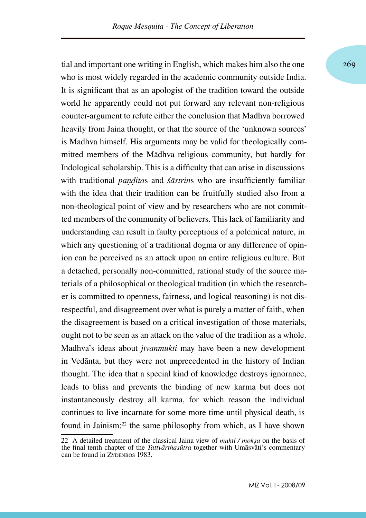tial and important one writing in English, which makes him also the one 269 who is most widely regarded in the academic community outside India. It is significant that as an apologist of the tradition toward the outside world he apparently could not put forward any relevant non-religious counter-argument to refute either the conclusion that Madhva borrowed heavily from Jaina thought, or that the source of the 'unknown sources' is Madhva himself. His arguments may be valid for theologically committed members of the Mādhva religious community, but hardly for Indological scholarship. This is a difficulty that can arise in discussions with traditional *paṇḍita*s and *śāstrin*s who are insufficiently familiar with the idea that their tradition can be fruitfully studied also from a non-theological point of view and by researchers who are not committed members of the community of believers. This lack of familiarity and understanding can result in faulty perceptions of a polemical nature, in which any questioning of a traditional dogma or any difference of opinion can be perceived as an attack upon an entire religious culture. But a detached, personally non-committed, rational study of the source materials of a philosophical or theological tradition (in which the researcher is committed to openness, fairness, and logical reasoning) is not disrespectful, and disagreement over what is purely a matter of faith, when the disagreement is based on a critical investigation of those materials, ought not to be seen as an attack on the value of the tradition as a whole. Madhva's ideas about *jīvanmukti* may have been a new development in Vedānta, but they were not unprecedented in the history of Indian thought. The idea that a special kind of knowledge destroys ignorance, leads to bliss and prevents the binding of new karma but does not instantaneously destroy all karma, for which reason the individual continues to live incarnate for some more time until physical death, is found in Jainism:22 the same philosophy from which, as I have shown

<sup>22</sup> A detailed treatment of the classical Jaina view of *mukti / mokṣa* on the basis of the final tenth chapter of the *Tattvārthasūtra* together with Umāsvāti's commentary can be found in ZYDENBOS 1983.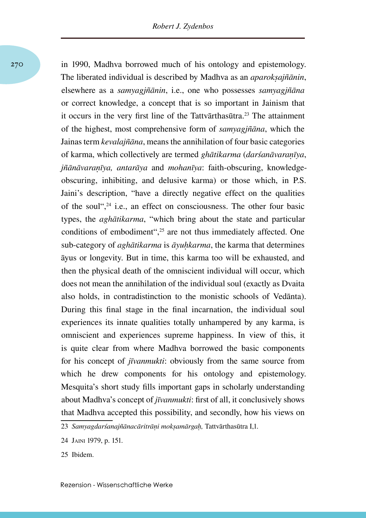in 1990, Madhva borrowed much of his ontology and epistemology. The liberated individual is described by Madhva as an *aparokṣajñānin*, elsewhere as a *samyagjñānin*, i.e., one who possesses *samyagjñāna*  or correct knowledge, a concept that is so important in Jainism that it occurs in the very first line of the Tattvārthasūtra.<sup>23</sup> The attainment of the highest, most comprehensive form of *samyagjñāna*, which the Jainas term *kevalajñāna*, means the annihilation of four basic categories of karma, which collectively are termed *ghātikarma* (*darśanāvaraṇīya*, *jñānāvaraṇīya, antarāya* and *mohanīya*: faith-obscuring, knowledgeobscuring, inhibiting, and delusive karma) or those which, in P.S. Jaini's description, "have a directly negative effect on the qualities of the soul",24 i.e., an effect on consciousness. The other four basic types, the *aghātikarma*, "which bring about the state and particular conditions of embodiment",<sup>25</sup> are not thus immediately affected. One sub-category of *aghātikarma* is *āyuḥkarma*, the karma that determines āyus or longevity. But in time, this karma too will be exhausted, and then the physical death of the omniscient individual will occur, which does not mean the annihilation of the individual soul (exactly as Dvaita also holds, in contradistinction to the monistic schools of Vedānta). During this final stage in the final incarnation, the individual soul experiences its innate qualities totally unhampered by any karma, is omniscient and experiences supreme happiness. In view of this, it is quite clear from where Madhva borrowed the basic components for his concept of *jīvanmukti*: obviously from the same source from which he drew components for his ontology and epistemology. Mesquita's short study fills important gaps in scholarly understanding about Madhva's concept of *jīvanmukti*: first of all, it conclusively shows that Madhva accepted this possibility, and secondly, how his views on

<sup>23</sup> *Samyagdarśanajñānacāritrāṇi mokṣamārgaḥ,* Tattvārthasūtra I,1.

<sup>24</sup> Jaini 1979, p. 151.

<sup>25</sup> Ibidem.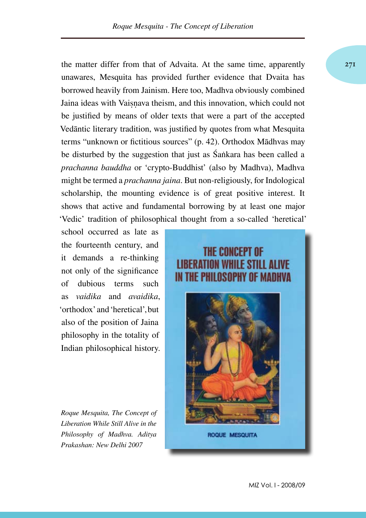the matter differ from that of Advaita. At the same time, apparently  $27I$ unawares, Mesquita has provided further evidence that Dvaita has borrowed heavily from Jainism. Here too, Madhva obviously combined Jaina ideas with Vaisnava theism, and this innovation, which could not be justified by means of older texts that were a part of the accepted Vedāntic literary tradition, was justified by quotes from what Mesquita terms "unknown or fictitious sources" (p. 42). Orthodox Mādhvas may be disturbed by the suggestion that just as Śaṅkara has been called a *prachanna bauddha* or 'crypto-Buddhist' (also by Madhva), Madhva might be termed a *prachanna jaina*. But non-religiously, for Indological scholarship, the mounting evidence is of great positive interest. It shows that active and fundamental borrowing by at least one major 'Vedic' tradition of philosophical thought from a so-called 'heretical'

school occurred as late as the fourteenth century, and it demands a re-thinking not only of the significance of dubious terms such as *vaidika* and *avaidika*, 'orthodox' and 'heretical', but also of the position of Jaina philosophy in the totality of Indian philosophical history.

*Roque Mesquita, The Concept of Liberation While Still Alive in the Philosophy of Madhva. Aditya Prakashan: New Delhi 2007*